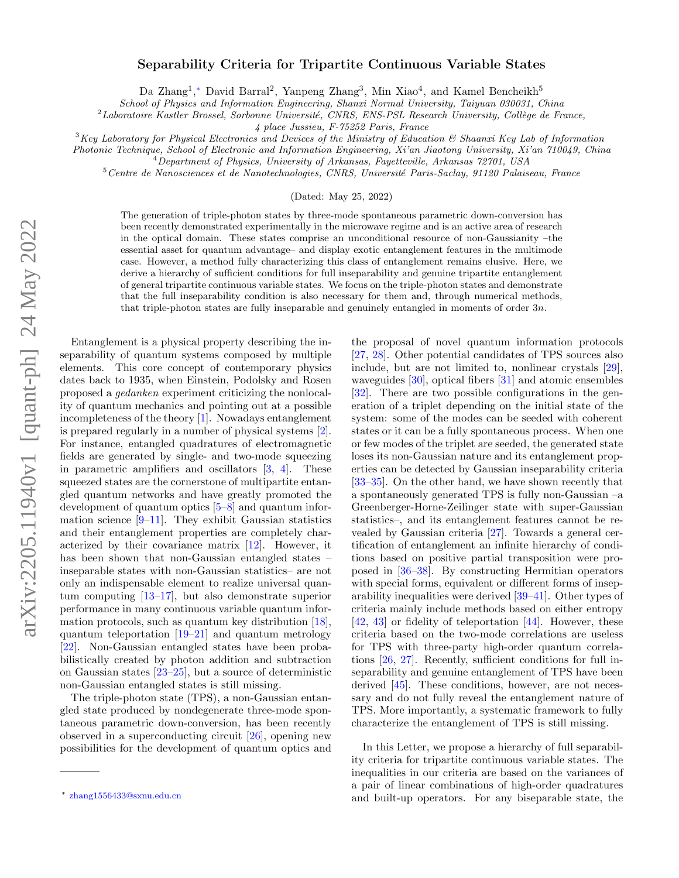## arXiv:2205.11940v1 [quant-ph] 24 May 2022 arXiv:2205.11940v1 [quant-ph] 24 May 2022

## Separability Criteria for Tripartite Continuous Variable States

Da Zhang<sup>1</sup>,\* David Barral<sup>2</sup>, Yanpeng Zhang<sup>3</sup>, Min Xiao<sup>4</sup>, and Kamel Bencheikh<sup>5</sup>

School of Physics and Information Engineering, Shanxi Normal University, Taiyuan 030031, China

 $2$ Laboratoire Kastler Brossel, Sorbonne Université, CNRS, ENS-PSL Research University, Collège de France,

4 place Jussieu, F-75252 Paris, France

 $3$ Key Laboratory for Physical Electronics and Devices of the Ministry of Education  $\mathcal{B}$  Shaanxi Key Lab of Information

Photonic Technique, School of Electronic and Information Engineering, Xi'an Jiaotong University, Xi'an 710049, China

<sup>4</sup>Department of Physics, University of Arkansas, Fayetteville, Arkansas 72701, USA

 $5$ Centre de Nanosciences et de Nanotechnologies, CNRS, Université Paris-Saclay, 91120 Palaiseau, France

(Dated: May 25, 2022)

The generation of triple-photon states by three-mode spontaneous parametric down-conversion has been recently demonstrated experimentally in the microwave regime and is an active area of research in the optical domain. These states comprise an unconditional resource of non-Gaussianity –the essential asset for quantum advantage– and display exotic entanglement features in the multimode case. However, a method fully characterizing this class of entanglement remains elusive. Here, we derive a hierarchy of sufficient conditions for full inseparability and genuine tripartite entanglement of general tripartite continuous variable states. We focus on the triple-photon states and demonstrate that the full inseparability condition is also necessary for them and, through numerical methods, that triple-photon states are fully inseparable and genuinely entangled in moments of order  $3n$ .

Entanglement is a physical property describing the inseparability of quantum systems composed by multiple elements. This core concept of contemporary physics dates back to 1935, when Einstein, Podolsky and Rosen proposed a gedanken experiment criticizing the nonlocality of quantum mechanics and pointing out at a possible incompleteness of the theory [\[1\]](#page-4-0). Nowadays entanglement is prepared regularly in a number of physical systems [\[2\]](#page-4-1). For instance, entangled quadratures of electromagnetic fields are generated by single- and two-mode squeezing in parametric amplifiers and oscillators [\[3,](#page-4-2) [4\]](#page-4-3). These squeezed states are the cornerstone of multipartite entangled quantum networks and have greatly promoted the development of quantum optics [\[5–](#page-4-4)[8\]](#page-4-5) and quantum information science  $[9-11]$  $[9-11]$ . They exhibit Gaussian statistics and their entanglement properties are completely characterized by their covariance matrix [\[12\]](#page-4-8). However, it has been shown that non-Gaussian entangled states – inseparable states with non-Gaussian statistics– are not only an indispensable element to realize universal quantum computing [\[13](#page-4-9)[–17\]](#page-4-10), but also demonstrate superior performance in many continuous variable quantum information protocols, such as quantum key distribution [\[18\]](#page-4-11), quantum teleportation  $[19-21]$  $[19-21]$  and quantum metrology [\[22\]](#page-4-14). Non-Gaussian entangled states have been probabilistically created by photon addition and subtraction on Gaussian states [\[23](#page-4-15)[–25\]](#page-4-16), but a source of deterministic non-Gaussian entangled states is still missing.

The triple-photon state (TPS), a non-Gaussian entangled state produced by nondegenerate three-mode spontaneous parametric down-conversion, has been recently observed in a superconducting circuit [\[26\]](#page-4-17), opening new possibilities for the development of quantum optics and

the proposal of novel quantum information protocols [\[27,](#page-4-18) [28\]](#page-4-19). Other potential candidates of TPS sources also include, but are not limited to, nonlinear crystals [\[29\]](#page-4-20), waveguides [\[30\]](#page-4-21), optical fibers [\[31\]](#page-5-0) and atomic ensembles [\[32\]](#page-5-1). There are two possible configurations in the generation of a triplet depending on the initial state of the system: some of the modes can be seeded with coherent states or it can be a fully spontaneous process. When one or few modes of the triplet are seeded, the generated state loses its non-Gaussian nature and its entanglement properties can be detected by Gaussian inseparability criteria [\[33–](#page-5-2)[35\]](#page-5-3). On the other hand, we have shown recently that a spontaneously generated TPS is fully non-Gaussian –a Greenberger-Horne-Zeilinger state with super-Gaussian statistics–, and its entanglement features cannot be revealed by Gaussian criteria [\[27\]](#page-4-18). Towards a general certification of entanglement an infinite hierarchy of conditions based on positive partial transposition were proposed in [\[36](#page-5-4)[–38\]](#page-5-5). By constructing Hermitian operators with special forms, equivalent or different forms of inseparability inequalities were derived [\[39–](#page-5-6)[41\]](#page-5-7). Other types of criteria mainly include methods based on either entropy [\[42,](#page-5-8) [43\]](#page-5-9) or fidelity of teleportation [\[44\]](#page-5-10). However, these criteria based on the two-mode correlations are useless for TPS with three-party high-order quantum correlations [\[26,](#page-4-17) [27\]](#page-4-18). Recently, sufficient conditions for full inseparability and genuine entanglement of TPS have been derived [\[45\]](#page-5-11). These conditions, however, are not necessary and do not fully reveal the entanglement nature of TPS. More importantly, a systematic framework to fully characterize the entanglement of TPS is still missing.

In this Letter, we propose a hierarchy of full separability criteria for tripartite continuous variable states. The inequalities in our criteria are based on the variances of a pair of linear combinations of high-order quadratures and built-up operators. For any biseparable state, the

<span id="page-0-0"></span><sup>∗</sup> [zhang1556433@sxnu.edu.cn](mailto:zhang1556433@sxnu.edu.cn)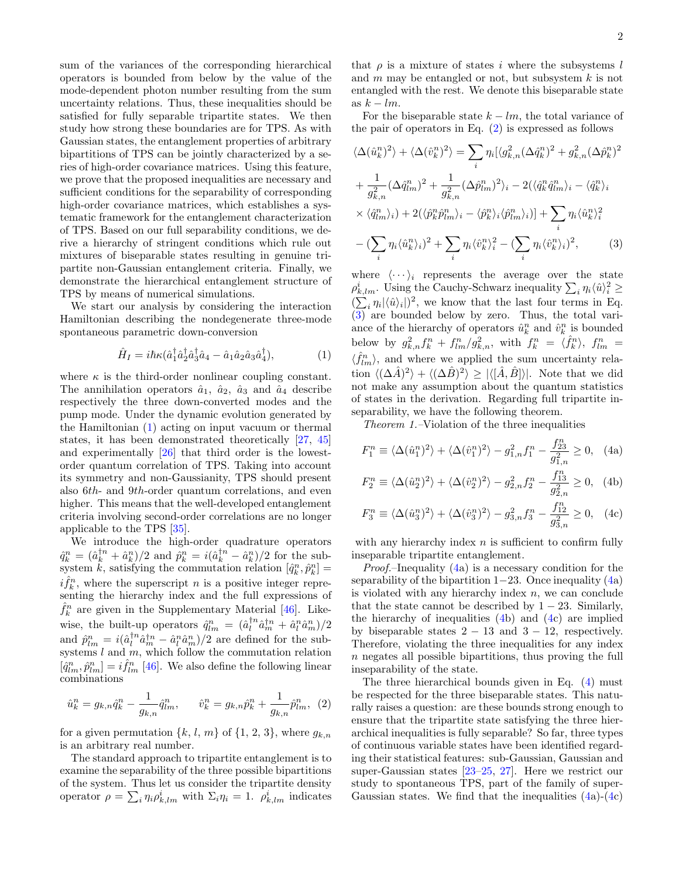sum of the variances of the corresponding hierarchical operators is bounded from below by the value of the mode-dependent photon number resulting from the sum uncertainty relations. Thus, these inequalities should be satisfied for fully separable tripartite states. We then study how strong these boundaries are for TPS. As with Gaussian states, the entanglement properties of arbitrary bipartitions of TPS can be jointly characterized by a series of high-order covariance matrices. Using this feature, we prove that the proposed inequalities are necessary and sufficient conditions for the separability of corresponding high-order covariance matrices, which establishes a systematic framework for the entanglement characterization of TPS. Based on our full separability conditions, we derive a hierarchy of stringent conditions which rule out mixtures of biseparable states resulting in genuine tripartite non-Gaussian entanglement criteria. Finally, we demonstrate the hierarchical entanglement structure of TPS by means of numerical simulations.

We start our analysis by considering the interaction Hamiltonian describing the nondegenerate three-mode spontaneous parametric down-conversion

$$
\hat{H}_I = i\hbar \kappa (\hat{a}_1^\dagger \hat{a}_2^\dagger \hat{a}_3^\dagger \hat{a}_4 - \hat{a}_1 \hat{a}_2 \hat{a}_3 \hat{a}_4^\dagger), \tag{1}
$$

where  $\kappa$  is the third-order nonlinear coupling constant. The annihilation operators  $\hat{a}_1$ ,  $\hat{a}_2$ ,  $\hat{a}_3$  and  $\hat{a}_4$  describe respectively the three down-converted modes and the pump mode. Under the dynamic evolution generated by the Hamiltonian [\(1\)](#page-1-0) acting on input vacuum or thermal states, it has been demonstrated theoretically [\[27,](#page-4-18) [45\]](#page-5-11) and experimentally [\[26\]](#page-4-17) that third order is the lowestorder quantum correlation of TPS. Taking into account its symmetry and non-Gaussianity, TPS should present also 6th- and 9th-order quantum correlations, and even higher. This means that the well-developed entanglement criteria involving second-order correlations are no longer applicable to the TPS [\[35\]](#page-5-3).

We introduce the high-order quadrature operators  $\hat{q}_k^n = (\hat{a}_k^{\dagger n} + \hat{a}_k^n)/2$  and  $\hat{p}_k^n = i(\hat{a}_k^{\dagger n} - \hat{a}_k^n)/2$  for the subsystem  $\hat{k}$ , satisfying the commutation relation  $[\hat{q}_k^n, \hat{p}_k^n] =$  $i\hat{f}_k^n$ , where the superscript n is a positive integer representing the hierarchy index and the full expressions of  $\hat{f}_k^n$  are given in the Supplementary Material [\[46\]](#page-5-12). Likewise, the built-up operators  $\hat{q}_{lm}^n = (\hat{a}_l^{\dagger n} \hat{a}_m^{\dagger n} + \hat{a}_l^n \hat{a}_m^n)/2$ and  $\hat{p}_{lm}^n = i(\hat{a}_l^{\dagger n}\hat{a}_m^{\dagger n} - \hat{a}_l^n\hat{a}_m^n)/2$  are defined for the subsystems  $l$  and  $m$ , which follow the commutation relation  $[\hat{q}_{lm}^n, \hat{p}_{lm}^n] = i \hat{f}_{lm}^n$  [\[46\]](#page-5-12). We also define the following linear combinations

$$
\hat{u}_k^n = g_{k,n} \hat{q}_k^n - \frac{1}{g_{k,n}} \hat{q}_{lm}^n, \qquad \hat{v}_k^n = g_{k,n} \hat{p}_k^n + \frac{1}{g_{k,n}} \hat{p}_{lm}^n, \tag{2}
$$

for a given permutation  $\{k, l, m\}$  of  $\{1, 2, 3\}$ , where  $q_{k,n}$ is an arbitrary real number.

The standard approach to tripartite entanglement is to examine the separability of the three possible bipartitions of the system. Thus let us consider the tripartite density operator  $\rho = \sum_i \eta_i \rho_{k,lm}^i$  with  $\Sigma_i \eta_i = 1$ .  $\rho_{k,lm}^i$  indicates that  $\rho$  is a mixture of states i where the subsystems l and  $m$  may be entangled or not, but subsystem  $k$  is not entangled with the rest. We denote this biseparable state as  $k - lm$ .

For the biseparable state  $k - lm$ , the total variance of the pair of operators in Eq.  $(2)$  is expressed as follows

$$
\langle \Delta(\hat{u}_k^n)^2 \rangle + \langle \Delta(\hat{v}_k^n)^2 \rangle = \sum_i \eta_i [\langle g_{k,n}^2 (\Delta \hat{q}_k^n)^2 + g_{k,n}^2 (\Delta \hat{p}_k^n)^2
$$
  
+ 
$$
\frac{1}{g_{k,n}^2} (\Delta \hat{q}_{lm}^n)^2 + \frac{1}{g_{k,n}^2} (\Delta \hat{p}_{lm}^n)^2 \rangle_i - 2(\langle \hat{q}_k^n \hat{q}_{lm}^n \rangle_i - \langle \hat{q}_k^n \rangle_i
$$
  
× 
$$
\langle \hat{q}_{lm}^n \rangle_i + 2(\langle \hat{p}_k^n \hat{p}_{lm}^n \rangle_i - \langle \hat{p}_k^n \rangle_i \langle \hat{p}_{lm}^n \rangle_i)] + \sum_i \eta_i \langle \hat{u}_k^n \rangle_i^2
$$
  
- 
$$
(\sum_i \eta_i \langle \hat{u}_k^n \rangle_i)^2 + \sum_i \eta_i \langle \hat{v}_k^n \rangle_i^2 - (\sum_i \eta_i \langle \hat{v}_k^n \rangle_i)^2, \qquad (3)
$$

<span id="page-1-2"></span><span id="page-1-0"></span>where  $\langle \cdots \rangle_i$  represents the average over the state  $\rho^i_{k,lm}$ . Using the Cauchy-Schwarz inequality  $\sum_i \eta_i \langle \hat{u} \rangle_i^2 \geq$  $(\sum_i \eta_i |\langle \hat{u} \rangle_i|)^2$ , we know that the last four terms in Eq.  $\overline{(3)}$  $\overline{(3)}$  $\overline{(3)}$  are bounded below by zero. Thus, the total variance of the hierarchy of operators  $\hat{u}_k^n$  and  $\hat{v}_k^n$  is bounded below by  $g_{k,n}^2 f_k^n + f_{lm}^n/g_{k,n}^2$ , with  $f_k^n = \langle f_k^n \rangle$ ,  $f_{lm}^n =$  $\langle \hat{f}_{lm}^n \rangle$ , and where we applied the sum uncertainty relation  $\langle (\Delta \hat{A})^2 \rangle + \langle (\Delta \hat{B})^2 \rangle \geq |\langle [\hat{A}, \hat{B}] \rangle|$ . Note that we did not make any assumption about the quantum statistics of states in the derivation. Regarding full tripartite inseparability, we have the following theorem.

Theorem 1.–Violation of the three inequalities

$$
F_1^n \equiv \langle \Delta(\hat{u}_1^n)^2 \rangle + \langle \Delta(\hat{v}_1^n)^2 \rangle - g_{1,n}^2 f_1^n - \frac{f_{23}^n}{g_{1,n}^2} \ge 0, \quad (4a)
$$

$$
F_2^n \equiv \langle \Delta(\hat{u}_2^n)^2 \rangle + \langle \Delta(\hat{v}_2^n)^2 \rangle - g_{2,n}^2 f_2^n - \frac{f_{13}^n}{g_{2,n}^2} \ge 0, \quad (4b)
$$

<span id="page-1-3"></span>
$$
F_3^n \equiv \langle \Delta(\hat{u}_3^n)^2 \rangle + \langle \Delta(\hat{v}_3^n)^2 \rangle - g_{3,n}^2 f_3^n - \frac{f_{12}^n}{g_{3,n}^2} \ge 0, \quad (4c)
$$

with any hierarchy index  $n$  is sufficient to confirm fully inseparable tripartite entanglement.

Proof.–Inequality [\(4a](#page-1-3)) is a necessary condition for the separability of the bipartition  $1-23$ . Once inequality  $(4a)$  $(4a)$ is violated with any hierarchy index  $n$ , we can conclude that the state cannot be described by  $1 - 23$ . Similarly, the hierarchy of inequalities [\(4b](#page-1-3)) and [\(4c](#page-1-3)) are implied by biseparable states  $2 - 13$  and  $3 - 12$ , respectively. Therefore, violating the three inequalities for any index  $n$  negates all possible bipartitions, thus proving the full inseparability of the state.

<span id="page-1-1"></span>The three hierarchical bounds given in Eq. [\(4\)](#page-1-3) must be respected for the three biseparable states. This naturally raises a question: are these bounds strong enough to ensure that the tripartite state satisfying the three hierarchical inequalities is fully separable? So far, three types of continuous variable states have been identified regarding their statistical features: sub-Gaussian, Gaussian and super-Gaussian states [\[23](#page-4-15)[–25,](#page-4-16) [27\]](#page-4-18). Here we restrict our study to spontaneous TPS, part of the family of super-Gaussian states. We find that the inequalities  $(4a)-(4c)$  $(4a)-(4c)$  $(4a)-(4c)$  $(4a)-(4c)$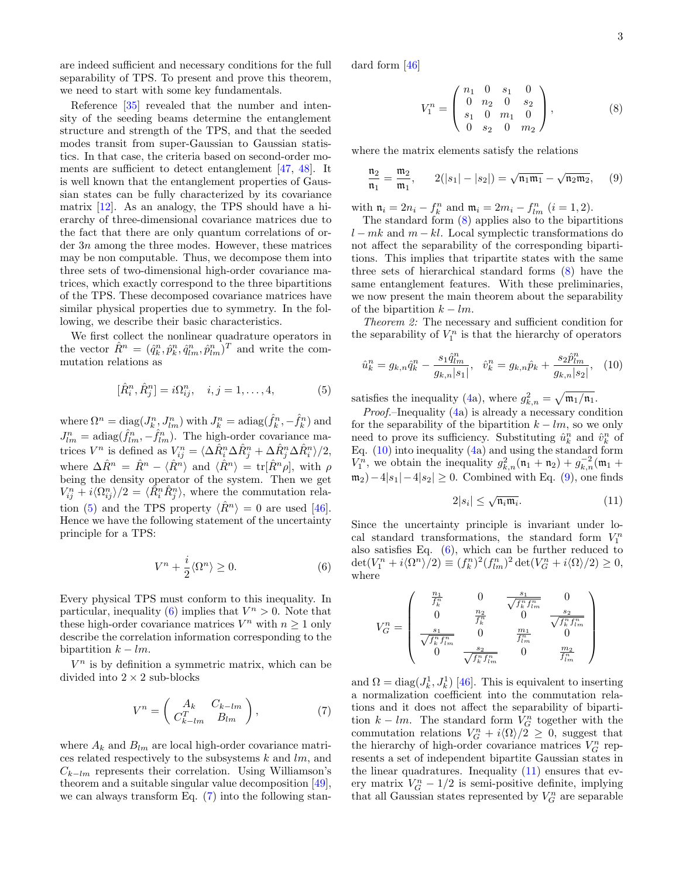are indeed sufficient and necessary conditions for the full separability of TPS. To present and prove this theorem, we need to start with some key fundamentals.

Reference [\[35\]](#page-5-3) revealed that the number and intensity of the seeding beams determine the entanglement structure and strength of the TPS, and that the seeded modes transit from super-Gaussian to Gaussian statistics. In that case, the criteria based on second-order moments are sufficient to detect entanglement [\[47,](#page-5-13) [48\]](#page-5-14). It is well known that the entanglement properties of Gaussian states can be fully characterized by its covariance matrix [\[12\]](#page-4-8). As an analogy, the TPS should have a hierarchy of three-dimensional covariance matrices due to the fact that there are only quantum correlations of order 3n among the three modes. However, these matrices may be non computable. Thus, we decompose them into three sets of two-dimensional high-order covariance matrices, which exactly correspond to the three bipartitions of the TPS. These decomposed covariance matrices have similar physical properties due to symmetry. In the following, we describe their basic characteristics.

We first collect the nonlinear quadrature operators in the vector  $\hat{R}^n = (\hat{q}_k^n, \hat{p}_k^n, \hat{q}_{lm}^n, \hat{p}_{lm}^n)^T$  and write the commutation relations as

$$
[\hat{R}_i^n, \hat{R}_j^n] = i\Omega_{ij}^n, \quad i, j = 1, ..., 4,
$$
 (5)

where  $\Omega^n = \text{diag}(J_k^n, J_{lm}^n)$  with  $J_k^n = \text{adiag}(\hat{f}_k^n, -\hat{f}_k^n)$  and  $J_{lm}^n = \text{adiag}(\hat{f}_{lm}^n, -\hat{f}_{lm}^n)$ . The high-order covariance matrices  $V^n$  is defined as  $V_{ij}^n = \langle \Delta \hat{R}_i^n \Delta \hat{R}_j^n + \Delta \hat{R}_j^n \Delta \hat{R}_i^n \rangle / 2$ , where  $\Delta \hat{R}^n = \hat{R}^n - \langle \hat{R}^n \rangle$  and  $\langle \hat{R}^n \rangle = \text{tr}[\hat{R}^n \rho],$  with  $\rho$ being the density operator of the system. Then we get  $V_{ij}^n + i \langle \Omega_{ij}^n \rangle/2 = \langle \hat{R}_i^n \hat{R}_j^n \rangle$ , where the commutation rela-tion [\(5\)](#page-2-0) and the TPS property  $\langle \hat{R}^n \rangle = 0$  are used [\[46\]](#page-5-12). Hence we have the following statement of the uncertainty principle for a TPS:

$$
V^n + \frac{i}{2} \langle \Omega^n \rangle \ge 0. \tag{6}
$$

Every physical TPS must conform to this inequality. In particular, inequality [\(6\)](#page-2-1) implies that  $V^n > 0$ . Note that these high-order covariance matrices  $V^n$  with  $n \geq 1$  only describe the correlation information corresponding to the bipartition  $k - lm$ .

 $V<sup>n</sup>$  is by definition a symmetric matrix, which can be divided into  $2\times 2$  sub-blocks

$$
V^n = \left(\begin{array}{cc} A_k & C_{k-lm} \\ C_{k-lm}^T & B_{lm} \end{array}\right),\tag{7}
$$

where  $A_k$  and  $B_{lm}$  are local high-order covariance matrices related respectively to the subsystems  $k$  and  $lm$ , and  $C_{k-lm}$  represents their correlation. Using Williamson's theorem and a suitable singular value decomposition [\[49\]](#page-5-15), we can always transform Eq.  $(7)$  into the following standard form [\[46\]](#page-5-12)

<span id="page-2-5"></span><span id="page-2-3"></span>
$$
V_1^n = \begin{pmatrix} n_1 & 0 & s_1 & 0 \\ 0 & n_2 & 0 & s_2 \\ s_1 & 0 & m_1 & 0 \\ 0 & s_2 & 0 & m_2 \end{pmatrix},
$$
 (8)

where the matrix elements satisfy the relations

$$
\frac{\mathfrak{n}_2}{\mathfrak{n}_1} = \frac{\mathfrak{m}_2}{\mathfrak{m}_1}, \qquad 2(|s_1| - |s_2|) = \sqrt{\mathfrak{n}_1 \mathfrak{m}_1} - \sqrt{\mathfrak{n}_2 \mathfrak{m}_2}, \qquad (9)
$$

with  $\mathfrak{n}_i = 2n_i - f_k^n$  and  $\mathfrak{m}_i = 2m_i - f_{lm}^n$   $(i = 1, 2)$ .

The standard form [\(8\)](#page-2-3) applies also to the bipartitions  $l - mk$  and  $m - kl$ . Local symplectic transformations do not affect the separability of the corresponding bipartitions. This implies that tripartite states with the same three sets of hierarchical standard forms [\(8\)](#page-2-3) have the same entanglement features. With these preliminaries, we now present the main theorem about the separability of the bipartition  $k - lm$ .

Theorem 2: The necessary and sufficient condition for the separability of  $V_1^n$  is that the hierarchy of operators

$$
\hat{u}_k^n = g_{k,n} \hat{q}_k^n - \frac{s_1 \hat{q}_{lm}^n}{g_{k,n}|s_1|}, \quad \hat{v}_k^n = g_{k,n} \hat{p}_k + \frac{s_2 \hat{p}_{lm}^n}{g_{k,n}|s_2|}, \quad (10)
$$

<span id="page-2-0"></span>satisfies the inequality [\(4a](#page-1-3)), where  $g_{k,n}^2 = \sqrt{\mathfrak{m}_1/\mathfrak{n}_1}$ .

Proof.–Inequality [\(4a](#page-1-3)) is already a necessary condition for the separability of the bipartition  $k - lm$ , so we only need to prove its sufficiency. Substituting  $\hat{u}_k^n$  and  $\hat{v}_k^n$  of Eq. [\(10\)](#page-2-4) into inequality [\(4a](#page-1-3)) and using the standard form  $V_1^{\hat{n}}$ , we obtain the inequality  $g_{k,n}^2(\mathfrak{n}_1 + \mathfrak{n}_2) + g_{k,n}^{-2}(\mathfrak{m}_1 +$  $m_2) - 4|s_1| - 4|s_2| \geq 0$ . Combined with Eq. [\(9\)](#page-2-5), one finds

<span id="page-2-6"></span><span id="page-2-4"></span>
$$
2|s_i| \le \sqrt{\mathfrak{n}_i \mathfrak{m}_i}.\tag{11}
$$

<span id="page-2-1"></span>Since the uncertainty principle is invariant under local standard transformations, the standard form  $V_1^n$ also satisfies Eq. [\(6\)](#page-2-1), which can be further reduced to  $\det(V_1^n + i \langle \Omega^n \rangle/2) \equiv (f_k^n)^2 (f_{lm}^n)^2 \det(V_G^n + i \langle \Omega \rangle/2) \geq 0,$ where

$$
V_G^n = \left(\begin{array}{cccc} \frac{n_1}{f_k^n} & 0 & \frac{s_1}{\sqrt{f_k^n f_{lm}^n}} & 0\\ 0 & \frac{n_2}{f_k^n} & 0 & \frac{s_2}{\sqrt{f_k^n f_{lm}^n}}\\ \frac{s_1}{\sqrt{f_k^n f_{lm}^n}} & 0 & \frac{m_1}{f_{lm}^n} & 0\\ 0 & \frac{s_2}{\sqrt{f_k^n f_{lm}^n}} & 0 & \frac{m_2}{f_{lm}^n} \end{array}\right)
$$

<span id="page-2-2"></span>and  $\Omega = \text{diag}(J_k^1, J_k^1)$  [\[46\]](#page-5-12). This is equivalent to inserting a normalization coefficient into the commutation relations and it does not affect the separability of bipartition  $k - lm$ . The standard form  $V_G^n$  together with the commutation relations  $V_G^n + i \langle \Omega \rangle / 2 \geq 0$ , suggest that the hierarchy of high-order covariance matrices  $V_G^n$  represents a set of independent bipartite Gaussian states in the linear quadratures. Inequality  $(11)$  ensures that every matrix  $V_G^n - 1/2$  is semi-positive definite, implying that all Gaussian states represented by  $V_G^n$  are separable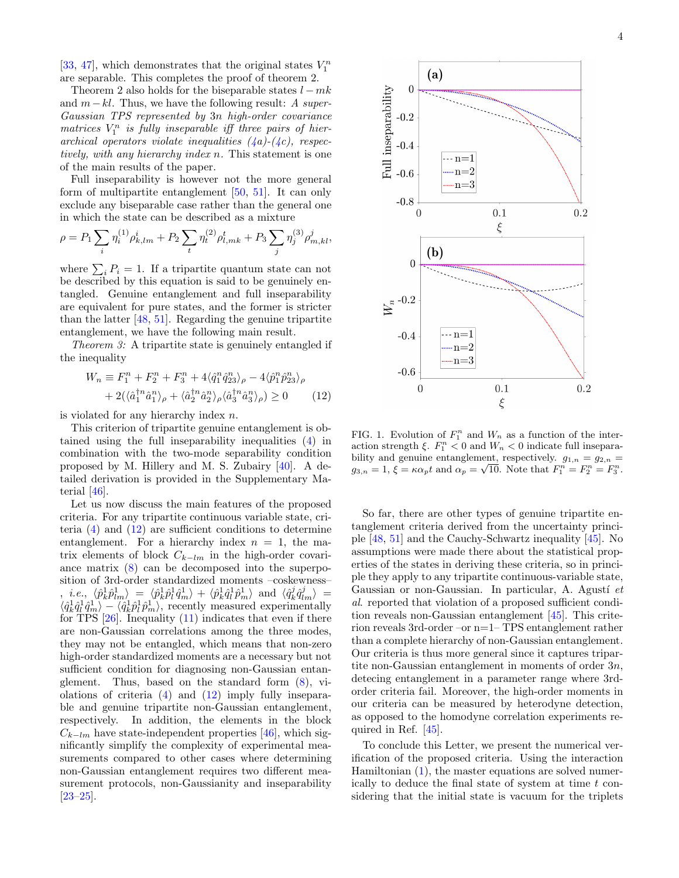[\[33,](#page-5-2) [47\]](#page-5-13), which demonstrates that the original states  $V_1^n$ are separable. This completes the proof of theorem 2.

Theorem 2 also holds for the biseparable states  $l - mk$ and  $m-kl$ . Thus, we have the following result: A super-Gaussian TPS represented by 3n high-order covariance matrices  $V_1^n$  is fully inseparable iff three pairs of hierarchical operators violate inequalities  $(4a)-(4c)$  $(4a)-(4c)$  $(4a)-(4c)$  $(4a)-(4c)$ , respectively, with any hierarchy index n. This statement is one of the main results of the paper.

Full inseparability is however not the more general form of multipartite entanglement [\[50,](#page-5-16) [51\]](#page-5-17). It can only exclude any biseparable case rather than the general one in which the state can be described as a mixture

$$
\rho = P_1 \sum_i \eta_i^{(1)} \rho_{k,lm}^i + P_2 \sum_t \eta_t^{(2)} \rho_{l,mk}^t + P_3 \sum_j \eta_j^{(3)} \rho_{m,kl}^j,
$$

where  $\sum_i P_i = 1$ . If a tripartite quantum state can not be described by this equation is said to be genuinely entangled. Genuine entanglement and full inseparability are equivalent for pure states, and the former is stricter than the latter [\[48,](#page-5-14) [51\]](#page-5-17). Regarding the genuine tripartite entanglement, we have the following main result.

Theorem 3: A tripartite state is genuinely entangled if the inequality

$$
W_n \equiv F_1^n + F_2^n + F_3^n + 4\langle \hat{q}_1^n \hat{q}_{23}^n \rangle_\rho - 4\langle \hat{p}_1^n \hat{p}_{23}^n \rangle_\rho + 2(\langle \hat{a}_1^{\dagger n} \hat{a}_1^n \rangle_\rho + \langle \hat{a}_2^{\dagger n} \hat{a}_2^n \rangle_\rho \langle \hat{a}_3^{\dagger n} \hat{a}_3^n \rangle_\rho) \ge 0
$$
 (12)

is violated for any hierarchy index n.

This criterion of tripartite genuine entanglement is obtained using the full inseparability inequalities [\(4\)](#page-1-3) in combination with the two-mode separability condition proposed by M. Hillery and M. S. Zubairy [\[40\]](#page-5-18). A detailed derivation is provided in the Supplementary Material [\[46\]](#page-5-12).

Let us now discuss the main features of the proposed criteria. For any tripartite continuous variable state, criteria [\(4\)](#page-1-3) and [\(12\)](#page-3-0) are sufficient conditions to determine entanglement. For a hierarchy index  $n = 1$ , the matrix elements of block  $C_{k-lm}$  in the high-order covariance matrix [\(8\)](#page-2-3) can be decomposed into the superposition of 3rd-order standardized moments –coskewness–  $h, i.e., \langle \hat{p}_k^1 \hat{p}_{lm}^1 \rangle = \langle \hat{p}_k^1 \hat{p}_l^1 \hat{q}_m^1 \rangle + \langle \hat{p}_k^1 \hat{q}_l^1 \hat{p}_m^1 \rangle$  and  $\langle \hat{q}_k^j \hat{q}_{lm}^j \rangle =$  $\langle \hat{q}_k^1 \hat{q}_l^1 \hat{q}_m^1 \rangle - \langle \hat{q}_k^1 \hat{p}_l^1 \hat{p}_m^1 \rangle$ , recently measured experimentally for TPS [\[26\]](#page-4-17). Inequality [\(11\)](#page-2-6) indicates that even if there are non-Gaussian correlations among the three modes, they may not be entangled, which means that non-zero high-order standardized moments are a necessary but not sufficient condition for diagnosing non-Gaussian entanglement. Thus, based on the standard form  $(8)$ , violations of criteria  $(4)$  and  $(12)$  imply fully inseparable and genuine tripartite non-Gaussian entanglement, respectively. In addition, the elements in the block  $C_{k-lm}$  have state-independent properties [\[46\]](#page-5-12), which significantly simplify the complexity of experimental measurements compared to other cases where determining non-Gaussian entanglement requires two different measurement protocols, non-Gaussianity and inseparability [\[23–](#page-4-15)[25\]](#page-4-16).



<span id="page-3-1"></span><span id="page-3-0"></span>FIG. 1. Evolution of  $F_1^n$  and  $W_n$  as a function of the interaction strength  $\xi$ .  $F_1^n < 0$  and  $W_n < 0$  indicate full inseparability and genuine entanglement, respectively.  $g_{1,n} = g_{2,n} =$  $g_{3,n} = 1, \xi = \kappa \alpha_p t$  and  $\alpha_p = \sqrt{10}$ . Note that  $F_1^n = F_2^n = F_3^n$ .

So far, there are other types of genuine tripartite entanglement criteria derived from the uncertainty principle [\[48,](#page-5-14) [51\]](#page-5-17) and the Cauchy-Schwartz inequality [\[45\]](#page-5-11). No assumptions were made there about the statistical properties of the states in deriving these criteria, so in principle they apply to any tripartite continuous-variable state, Gaussian or non-Gaussian. In particular, A. Agustí  $et$ al. reported that violation of a proposed sufficient condition reveals non-Gaussian entanglement [\[45\]](#page-5-11). This criterion reveals 3rd-order –or n=1– TPS entanglement rather than a complete hierarchy of non-Gaussian entanglement. Our criteria is thus more general since it captures tripartite non-Gaussian entanglement in moments of order 3n, detecing entanglement in a parameter range where 3rdorder criteria fail. Moreover, the high-order moments in our criteria can be measured by heterodyne detection, as opposed to the homodyne correlation experiments required in Ref. [\[45\]](#page-5-11).

To conclude this Letter, we present the numerical verification of the proposed criteria. Using the interaction Hamiltonian [\(1\)](#page-1-0), the master equations are solved numerically to deduce the final state of system at time t considering that the initial state is vacuum for the triplets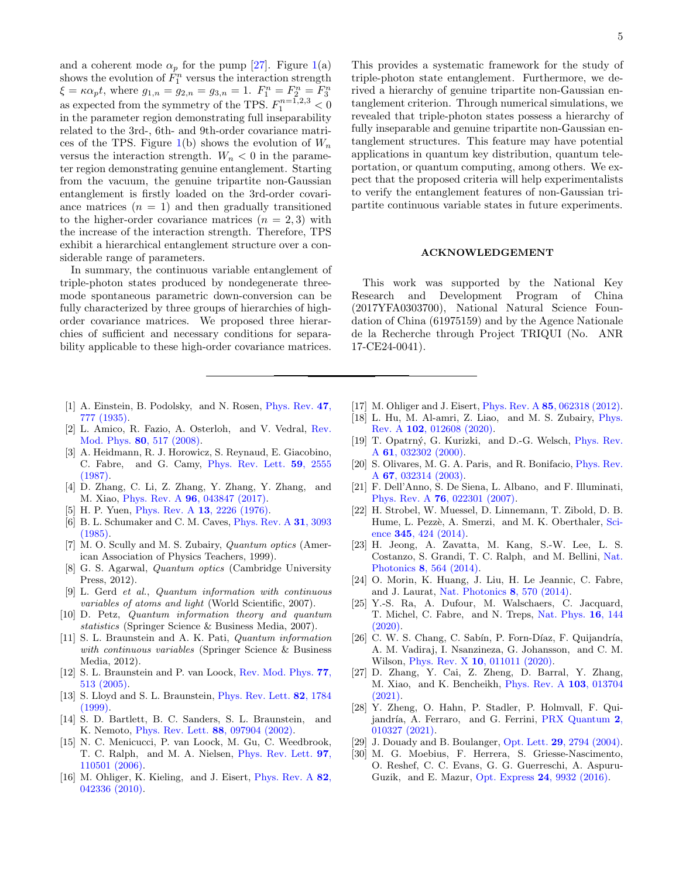and a coherent mode  $\alpha_p$  for the pump [\[27\]](#page-4-18). Figure [1\(](#page-3-1)a) shows the evolution of  $\hat{F}_1^n$  versus the interaction strength  $\xi = \kappa \alpha_p t$ , where  $g_{1,n} = g_{2,n} = g_{3,n} = 1$ .  $F_1^n = F_2^n = F_3^n$ as expected from the symmetry of the TPS.  $F_1^{n=1,2,3} < 0$ in the parameter region demonstrating full inseparability related to the 3rd-, 6th- and 9th-order covariance matri-ces of the TPS. Figure [1\(](#page-3-1)b) shows the evolution of  $W_n$ versus the interaction strength.  $W_n < 0$  in the parameter region demonstrating genuine entanglement. Starting from the vacuum, the genuine tripartite non-Gaussian entanglement is firstly loaded on the 3rd-order covariance matrices  $(n = 1)$  and then gradually transitioned to the higher-order covariance matrices  $(n = 2, 3)$  with the increase of the interaction strength. Therefore, TPS exhibit a hierarchical entanglement structure over a considerable range of parameters.

In summary, the continuous variable entanglement of triple-photon states produced by nondegenerate threemode spontaneous parametric down-conversion can be fully characterized by three groups of hierarchies of highorder covariance matrices. We proposed three hierarchies of sufficient and necessary conditions for separability applicable to these high-order covariance matrices.

- <span id="page-4-0"></span>[1] A. Einstein, B. Podolsky, and N. Rosen, [Phys. Rev.](http://journals.aps.org/pr/abstract/10.1103/PhysRev.47.777) 47, [777 \(1935\).](http://journals.aps.org/pr/abstract/10.1103/PhysRev.47.777)
- <span id="page-4-1"></span>[2] L. Amico, R. Fazio, A. Osterloh, and V. Vedral, [Rev.](http://dx.doi.org/10.1103/RevModPhys.80.517) Mod. Phys. 80[, 517 \(2008\).](http://dx.doi.org/10.1103/RevModPhys.80.517)
- <span id="page-4-2"></span>[3] A. Heidmann, R. J. Horowicz, S. Reynaud, E. Giacobino, C. Fabre, and G. Camy, [Phys. Rev. Lett.](http://dx.doi.org/ 10.1103/PhysRevLett.59.2555) 59, 2555 [\(1987\).](http://dx.doi.org/ 10.1103/PhysRevLett.59.2555)
- <span id="page-4-3"></span>[4] D. Zhang, C. Li, Z. Zhang, Y. Zhang, Y. Zhang, and M. Xiao, Phys. Rev. A 96[, 043847 \(2017\).](http://dx.doi.org/10.1103/PhysRevA.96.043847)
- <span id="page-4-4"></span>[5] H. P. Yuen, *Phys. Rev. A* **13**[, 2226 \(1976\).](http://dx.doi.org/10.1103/PhysRevA.13.2226)
- [6] B. L. Schumaker and C. M. Caves, [Phys. Rev. A](http://dx.doi.org/10.1103/PhysRevA.31.3093) 31, 3093 [\(1985\).](http://dx.doi.org/10.1103/PhysRevA.31.3093)
- [7] M. O. Scully and M. S. Zubairy, *Quantum optics* (American Association of Physics Teachers, 1999).
- <span id="page-4-5"></span>[8] G. S. Agarwal, Quantum optics (Cambridge University Press, 2012).
- <span id="page-4-6"></span>[9] L. Gerd et al., Quantum information with continuous variables of atoms and light (World Scientific, 2007).
- [10] D. Petz, Quantum information theory and quantum statistics (Springer Science & Business Media, 2007).
- <span id="page-4-7"></span>[11] S. L. Braunstein and A. K. Pati, Quantum information with continuous variables (Springer Science & Business Media, 2012).
- <span id="page-4-8"></span>[12] S. L. Braunstein and P. van Loock, [Rev. Mod. Phys.](http://dx.doi.org/10.1103/RevModPhys.77.513) 77, [513 \(2005\).](http://dx.doi.org/10.1103/RevModPhys.77.513)
- <span id="page-4-9"></span>[13] S. Lloyd and S. L. Braunstein, *[Phys. Rev. Lett.](http://dx.doi.org/10.1103/PhysRevLett.82.1784)* **82**, 1784 [\(1999\).](http://dx.doi.org/10.1103/PhysRevLett.82.1784)
- [14] S. D. Bartlett, B. C. Sanders, S. L. Braunstein, and K. Nemoto, [Phys. Rev. Lett.](http://dx.doi.org/10.1103/PhysRevLett.88.097904) 88, 097904 (2002).
- [15] N. C. Menicucci, P. van Loock, M. Gu, C. Weedbrook, T. C. Ralph, and M. A. Nielsen, [Phys. Rev. Lett.](http://dx.doi.org/ 10.1103/PhysRevLett.97.110501) 97, [110501 \(2006\).](http://dx.doi.org/ 10.1103/PhysRevLett.97.110501)
- [16] M. Ohliger, K. Kieling, and J. Eisert, *[Phys. Rev. A](http://dx.doi.org/10.1103/PhysRevA.82.042336)* 82, [042336 \(2010\).](http://dx.doi.org/10.1103/PhysRevA.82.042336)

This provides a systematic framework for the study of triple-photon state entanglement. Furthermore, we derived a hierarchy of genuine tripartite non-Gaussian entanglement criterion. Through numerical simulations, we revealed that triple-photon states possess a hierarchy of fully inseparable and genuine tripartite non-Gaussian entanglement structures. This feature may have potential applications in quantum key distribution, quantum teleportation, or quantum computing, among others. We expect that the proposed criteria will help experimentalists to verify the entanglement features of non-Gaussian tripartite continuous variable states in future experiments.

## ACKNOWLEDGEMENT

This work was supported by the National Key Research and Development Program of China (2017YFA0303700), National Natural Science Foundation of China (61975159) and by the Agence Nationale de la Recherche through Project TRIQUI (No. ANR 17-CE24-0041).

- <span id="page-4-10"></span>[17] M. Ohliger and J. Eisert, Phys. Rev. A **85**[, 062318 \(2012\).](http://dx.doi.org/10.1103/PhysRevA.85.062318)
- <span id="page-4-11"></span>[18] L. Hu, M. Al-amri, Z. Liao, and M. S. Zubairy, [Phys.](http://dx.doi.org/ 10.1103/PhysRevA.102.012608) Rev. A 102[, 012608 \(2020\).](http://dx.doi.org/ 10.1103/PhysRevA.102.012608)
- <span id="page-4-12"></span>[19] T. Opatrný, G. Kurizki, and D.-G. Welsch, *[Phys. Rev.](http://dx.doi.org/10.1103/PhysRevA.61.032302)* A 61[, 032302 \(2000\).](http://dx.doi.org/10.1103/PhysRevA.61.032302)
- [20] S. Olivares, M. G. A. Paris, and R. Bonifacio, [Phys. Rev.](http://dx.doi.org/10.1103/PhysRevA.67.032314) A 67[, 032314 \(2003\).](http://dx.doi.org/10.1103/PhysRevA.67.032314)
- <span id="page-4-13"></span>[21] F. Dell'Anno, S. De Siena, L. Albano, and F. Illuminati, Phys. Rev. A 76[, 022301 \(2007\).](http://dx.doi.org/ 10.1103/PhysRevA.76.022301)
- <span id="page-4-14"></span>[22] H. Strobel, W. Muessel, D. Linnemann, T. Zibold, D. B. Hume, L. Pezzè, A. Smerzi, and M. K. Oberthaler, [Sci](https://science.sciencemag.org/content/345/6195/424)ence 345[, 424 \(2014\).](https://science.sciencemag.org/content/345/6195/424)
- <span id="page-4-15"></span>[23] H. Jeong, A. Zavatta, M. Kang, S.-W. Lee, L. S. Costanzo, S. Grandi, T. C. Ralph, and M. Bellini, [Nat.](https://www.nature.com/articles/nphoton.2014.136) Photonics 8[, 564 \(2014\).](https://www.nature.com/articles/nphoton.2014.136)
- [24] O. Morin, K. Huang, J. Liu, H. Le Jeannic, C. Fabre, and J. Laurat, [Nat. Photonics](https://www.nature.com/articles/nphoton.2014.137) 8, 570 (2014).
- <span id="page-4-16"></span>[25] Y.-S. Ra, A. Dufour, M. Walschaers, C. Jacquard, T. Michel, C. Fabre, and N. Treps, [Nat. Phys.](https://www.nature.com/articles/s41567-019-0726-y) 16, 144  $(2020)$
- <span id="page-4-17"></span>[26] C. W. S. Chang, C. Sabín, P. Forn-Díaz, F. Quijandría, A. M. Vadiraj, I. Nsanzineza, G. Johansson, and C. M. Wilson, *Phys. Rev. X* **10**[, 011011 \(2020\).](http://dx.doi.org/10.1103/PhysRevX.10.011011)
- <span id="page-4-18"></span>[27] D. Zhang, Y. Cai, Z. Zheng, D. Barral, Y. Zhang, M. Xiao, and K. Bencheikh, [Phys. Rev. A](http://dx.doi.org/ 10.1103/PhysRevA.103.013704) 103, 013704  $(2021).$
- <span id="page-4-19"></span>[28] Y. Zheng, O. Hahn, P. Stadler, P. Holmvall, F. Qui-jandría, A. Ferraro, and G. Ferrini, [PRX Quantum](http://dx.doi.org/ 10.1103/PRXQuantum.2.010327) 2, [010327 \(2021\).](http://dx.doi.org/ 10.1103/PRXQuantum.2.010327)
- <span id="page-4-20"></span>[29] J. Douady and B. Boulanger, Opt. Lett. 29[, 2794 \(2004\).](http://dx.doi.org/10.1364/OL.29.002794)
- <span id="page-4-21"></span>[30] M. G. Moebius, F. Herrera, S. Griesse-Nascimento, O. Reshef, C. C. Evans, G. G. Guerreschi, A. Aspuru-Guzik, and E. Mazur, Opt. Express 24[, 9932 \(2016\).](http://www.opticsexpress.org/abstract.cfm?URI=oe-24-9-9932)